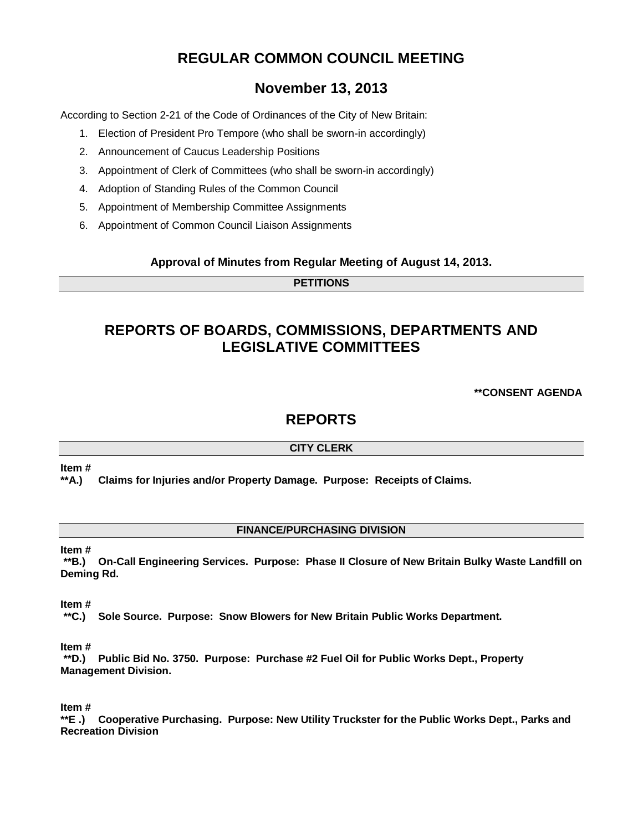# **REGULAR COMMON COUNCIL MEETING**

# **November 13, 2013**

According to Section 2-21 of the Code of Ordinances of the City of New Britain:

- 1. Election of President Pro Tempore (who shall be sworn-in accordingly)
- 2. Announcement of Caucus Leadership Positions
- 3. Appointment of Clerk of Committees (who shall be sworn-in accordingly)
- 4. Adoption of Standing Rules of the Common Council
- 5. Appointment of Membership Committee Assignments
- 6. Appointment of Common Council Liaison Assignments

## **Approval of Minutes from Regular Meeting of August 14, 2013.**

## **PETITIONS**

# **REPORTS OF BOARDS, COMMISSIONS, DEPARTMENTS AND LEGISLATIVE COMMITTEES**

**\*\*CONSENT AGENDA**

# **REPORTS**

## **CITY CLERK**

#### **Item #**

**\*\*A.) Claims for Injuries and/or Property Damage. Purpose: Receipts of Claims.**

## **FINANCE/PURCHASING DIVISION**

#### **Item #**

**\*\*B.) On-Call Engineering Services. Purpose: Phase II Closure of New Britain Bulky Waste Landfill on Deming Rd.** 

#### **Item #**

**\*\*C.) Sole Source. Purpose: Snow Blowers for New Britain Public Works Department.** 

## **Item #**

**\*\*D.) Public Bid No. 3750. Purpose: Purchase #2 Fuel Oil for Public Works Dept., Property Management Division.** 

## **Item #**

**\*\*E .) Cooperative Purchasing. Purpose: New Utility Truckster for the Public Works Dept., Parks and Recreation Division**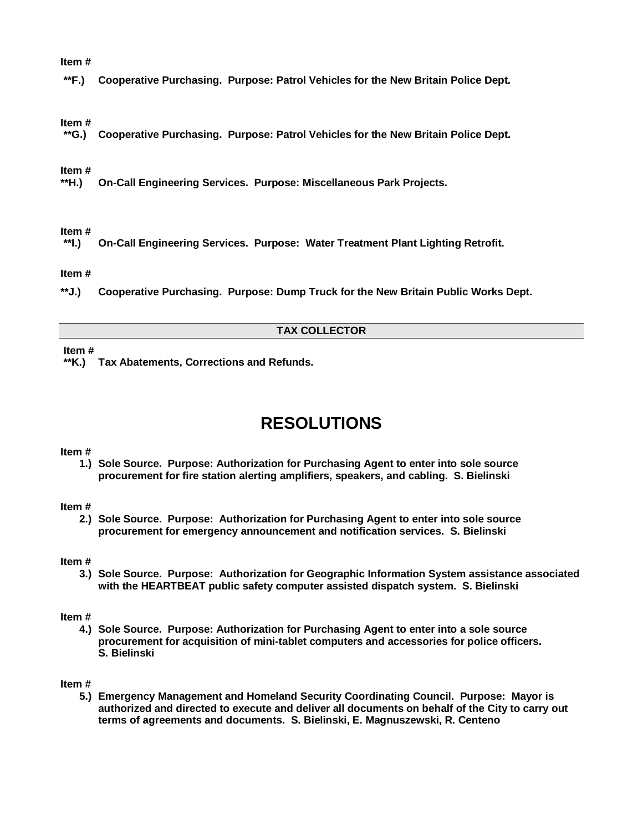#### **Item #**

**\*\*F.) Cooperative Purchasing. Purpose: Patrol Vehicles for the New Britain Police Dept.**

#### **Item #**

**\*\*G.) Cooperative Purchasing. Purpose: Patrol Vehicles for the New Britain Police Dept.**

#### **Item #**

**\*\*H.) On-Call Engineering Services. Purpose: Miscellaneous Park Projects.**

# **Item #**

**\*\*I.) On-Call Engineering Services. Purpose: Water Treatment Plant Lighting Retrofit.**

#### **Item #**

**\*\*J.) Cooperative Purchasing. Purpose: Dump Truck for the New Britain Public Works Dept.**

#### **TAX COLLECTOR**

#### **Item #**

**\*\*K.) Tax Abatements, Corrections and Refunds.** 

# **RESOLUTIONS**

#### **Item #**

**1.) Sole Source. Purpose: Authorization for Purchasing Agent to enter into sole source procurement for fire station alerting amplifiers, speakers, and cabling. S. Bielinski**

#### **Item #**

**2.) Sole Source. Purpose: Authorization for Purchasing Agent to enter into sole source procurement for emergency announcement and notification services. S. Bielinski**

#### **Item #**

**3.) Sole Source. Purpose: Authorization for Geographic Information System assistance associated with the HEARTBEAT public safety computer assisted dispatch system. S. Bielinski**

#### **Item #**

**4.) Sole Source. Purpose: Authorization for Purchasing Agent to enter into a sole source procurement for acquisition of mini-tablet computers and accessories for police officers. S. Bielinski** 

#### **Item #**

**5.) Emergency Management and Homeland Security Coordinating Council. Purpose: Mayor is authorized and directed to execute and deliver all documents on behalf of the City to carry out terms of agreements and documents. S. Bielinski, E. Magnuszewski, R. Centeno**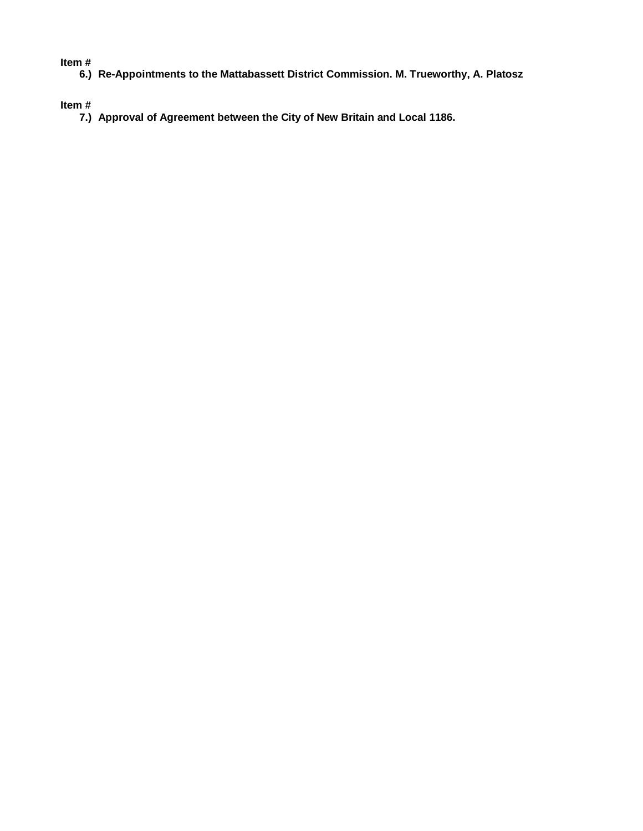#### **Item #**

**6.) Re-Appointments to the Mattabassett District Commission. M. Trueworthy, A. Platosz**

**Item #**

**7.) Approval of Agreement between the City of New Britain and Local 1186.**